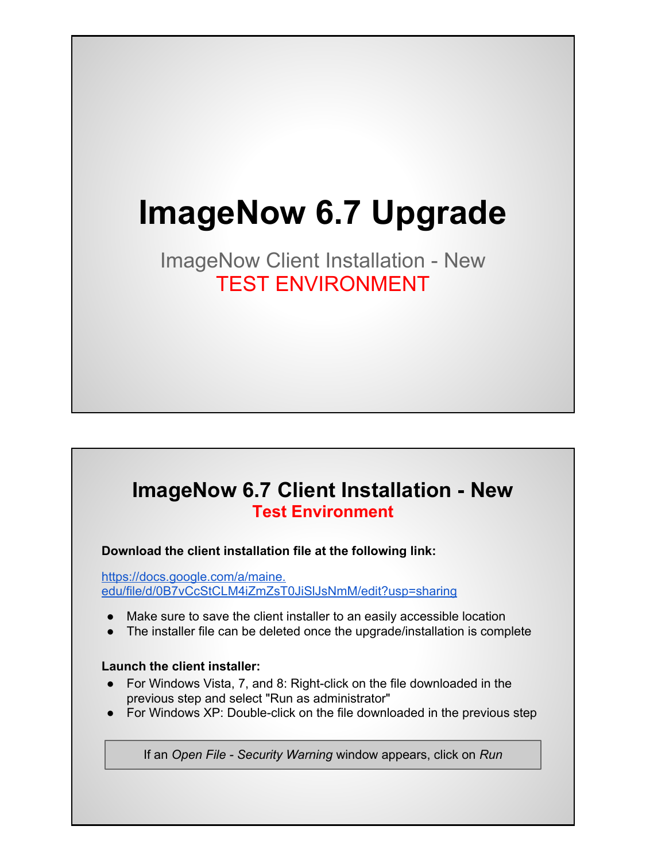# **ImageNow 6.7 Upgrade**

ImageNow Client Installation - New TEST ENVIRONMENT

#### **ImageNow 6.7 Client Installation - New Test Environment**

**Download the client installation file at the following link:**

[https://docs.google.com/a/maine.](https://docs.google.com/a/maine.edu/file/d/0B7vCcStCLM4iZmZsT0JiSlJsNmM/edit?usp=sharing) [edu/file/d/0B7vCcStCLM4iZmZsT0JiSlJsNmM/edit?usp=sharing](https://docs.google.com/a/maine.edu/file/d/0B7vCcStCLM4iZmZsT0JiSlJsNmM/edit?usp=sharing)

- Make sure to save the client installer to an easily accessible location
- The installer file can be deleted once the upgrade/installation is complete

#### **Launch the client installer:**

- For Windows Vista, 7, and 8: Right-click on the file downloaded in the previous step and select "Run as administrator"
- For Windows XP: Double-click on the file downloaded in the previous step

If an *Open File - Security Warning* window appears, click on *Run*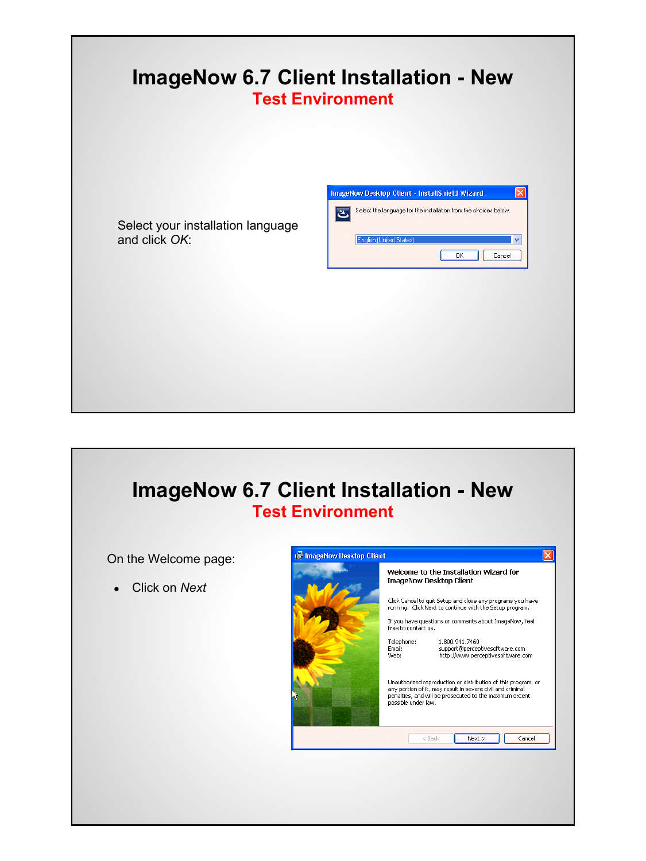

## **ImageNow 6.7 Client Installation - New Test Environment**

On the Welcome page:

● Click on *Next*

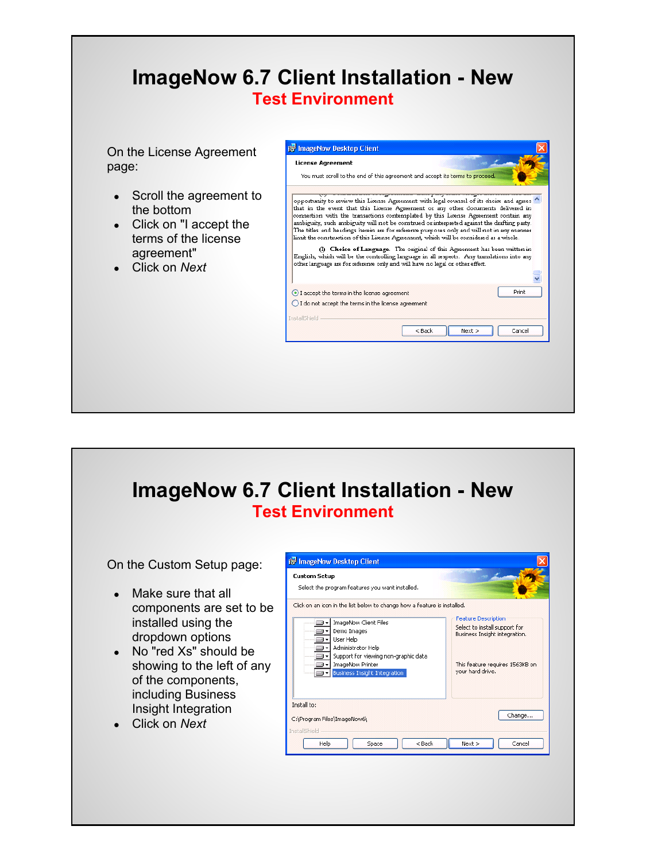#### **ImageNow 6.7 Client Installation - New Test Environment**

On the License Agreement page:

- Scroll the agreement to the bottom
- Click on "I accept the terms of the license agreement"
- Click on *Next*

| <b>License Agreement</b>                                                                                                                                                                                                                                                                                                                                                                                                                                                                                                                                                                                                                      |                                                                            |      |        |
|-----------------------------------------------------------------------------------------------------------------------------------------------------------------------------------------------------------------------------------------------------------------------------------------------------------------------------------------------------------------------------------------------------------------------------------------------------------------------------------------------------------------------------------------------------------------------------------------------------------------------------------------------|----------------------------------------------------------------------------|------|--------|
| You must scroll to the end of this agreement and accept its terms to proceed.                                                                                                                                                                                                                                                                                                                                                                                                                                                                                                                                                                 |                                                                            |      |        |
| that in the event that this License Agreement or any other documents delivered in<br>connection with the transactions contemplated by this License Agreement contain any<br>ambiguity, such ambiguity will not be construed or interpreted against the drafting party.<br>The titles and headings herein are for reference purposes only and will not in any manner.<br>limit the construction of this License Agreement, which will be considered as a whole.<br>English, which will be the controlling language in all respects. Any translations into any<br>other language are for reference only and will have no legal or other effect. | (I) Choice of Language. The original of this Agreement has been written in |      |        |
| I accept the terms in the license agreement                                                                                                                                                                                                                                                                                                                                                                                                                                                                                                                                                                                                   |                                                                            |      | Print  |
| $\bigcirc$ I do not accept the terms in the license agreement                                                                                                                                                                                                                                                                                                                                                                                                                                                                                                                                                                                 |                                                                            |      |        |
| <b>InstallShield</b>                                                                                                                                                                                                                                                                                                                                                                                                                                                                                                                                                                                                                          |                                                                            |      |        |
|                                                                                                                                                                                                                                                                                                                                                                                                                                                                                                                                                                                                                                               | $<$ Back                                                                   | Next | Cancel |
|                                                                                                                                                                                                                                                                                                                                                                                                                                                                                                                                                                                                                                               |                                                                            |      |        |

### **ImageNow 6.7 Client Installation - New Test Environment**

On the Custom Setup page:

- Make sure that all components are set to be installed using the dropdown options
- No "red Xs" should be showing to the left of any of the components, including Business Insight Integration
- Click on *Next*

| <b>Custom Setup</b><br>Select the program features you want installed.                                                                                                                                                                                 |                                                                                                                                                     |
|--------------------------------------------------------------------------------------------------------------------------------------------------------------------------------------------------------------------------------------------------------|-----------------------------------------------------------------------------------------------------------------------------------------------------|
| Click on an icon in the list below to change how a feature is installed.<br>ImageNow Client Files<br>Demo Images<br>User Help<br>Administrator Help<br>Support for viewing non-graphic data<br>ImageNow Printer<br><b>Business Insight Integration</b> | <b>Feature Description</b><br>Select to install support for<br>Business Insight integration.<br>This feature requires 1563KB on<br>your hard drive. |
| Install to:<br>C:\Program Files\ImageNow6\<br>InstallShield                                                                                                                                                                                            | Change                                                                                                                                              |
| $<$ Back<br>Help<br>Space                                                                                                                                                                                                                              | Next<br>Cancel                                                                                                                                      |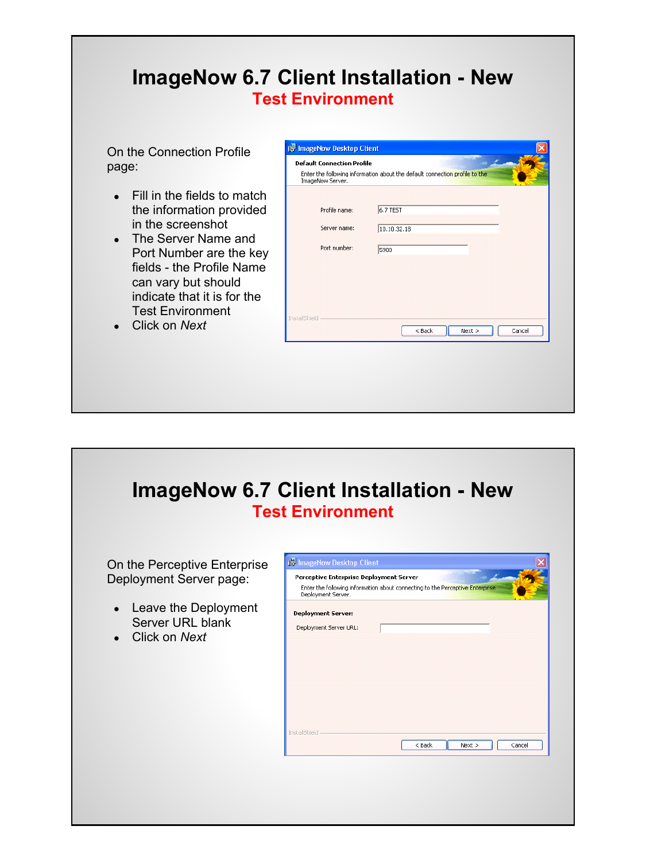#### **ImageNow 6.7 Client Installation - New Test Environment**

On the Connection Profile page:

- Fill in the fields to match the information provided in the screenshot
- The Server Name and Port Number are the key fields - the Profile Name can vary but should indicate that it is for the Test Environment
- Click on *Next*

| Enter the following information about the default connection profile to the<br>ImageNow Server. |             |          |      |        |
|-------------------------------------------------------------------------------------------------|-------------|----------|------|--------|
| Profile name:                                                                                   | 6.7 TEST    |          |      |        |
| Server name:                                                                                    | 10.10.32.18 |          |      |        |
| Port number:                                                                                    | 5900        |          |      |        |
|                                                                                                 |             |          |      |        |
|                                                                                                 |             |          |      |        |
|                                                                                                 |             |          |      |        |
| InstallShield                                                                                   |             | $<$ Back | Next | Cancel |
|                                                                                                 |             |          |      |        |

## **ImageNow 6.7 Client Installation - New Test Environment**

On the Perceptive Enterprise Deployment Server page:

- Leave the Deployment Server URL blank
- Click on *Next*

| Perceptive Enterprise Deployment Server<br>Deployment Server. | Enter the following information about connecting to the Perceptive Enterprise |
|---------------------------------------------------------------|-------------------------------------------------------------------------------|
| <b>Deployment Server:</b>                                     |                                                                               |
| Deployment Server URL:                                        |                                                                               |
|                                                               |                                                                               |
|                                                               |                                                                               |
|                                                               |                                                                               |
|                                                               |                                                                               |
|                                                               |                                                                               |
|                                                               |                                                                               |
|                                                               |                                                                               |
| InstallShield                                                 |                                                                               |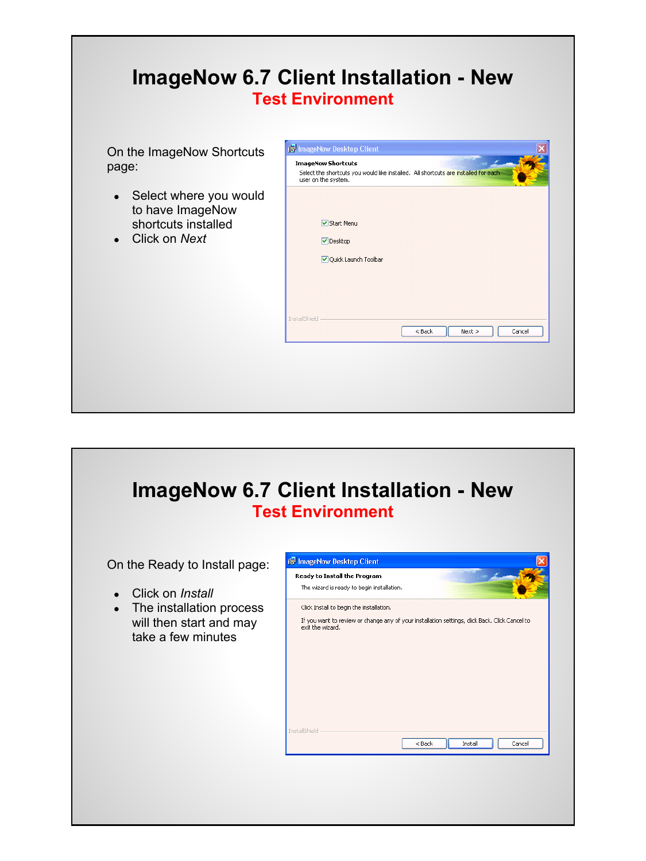| On the ImageNow Shortcuts<br>page:                                                                           | <b>13</b> ImageNow Desktop Client                                                                                                       |  |  |
|--------------------------------------------------------------------------------------------------------------|-----------------------------------------------------------------------------------------------------------------------------------------|--|--|
|                                                                                                              | <b>ImageNow Shortcuts</b><br>Select the shortcuts you would like installed. All shortcuts are installed for each<br>user on the system. |  |  |
| Select where you would<br>$\bullet$<br>to have ImageNow<br>shortcuts installed<br>Click on Next<br>$\bullet$ | <b>▽</b> Start Menu<br>$\nabla$ Desktop<br>Ouick Launch Toolbar                                                                         |  |  |
|                                                                                                              | InstallShield<br>$<$ Back<br>Next<br>Cancel                                                                                             |  |  |

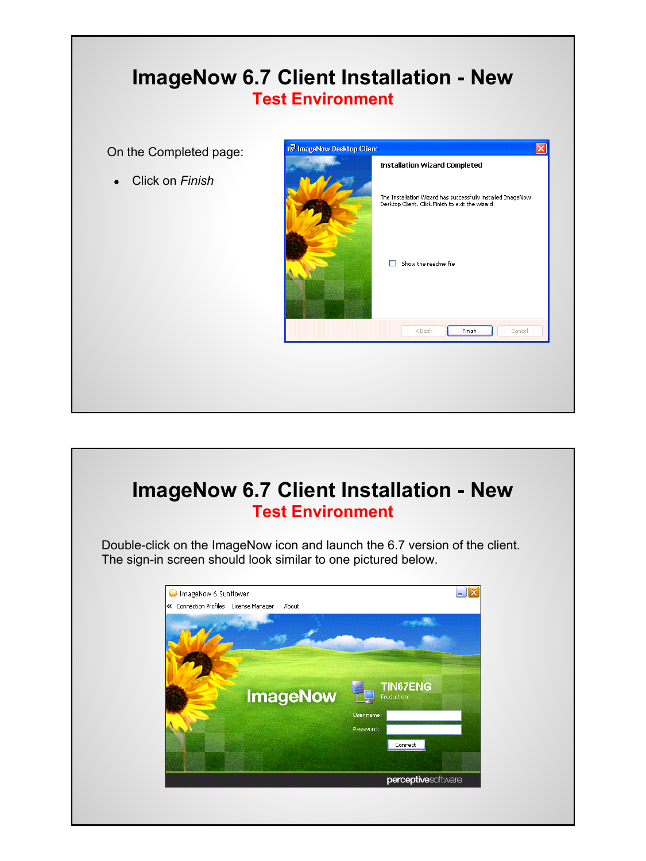